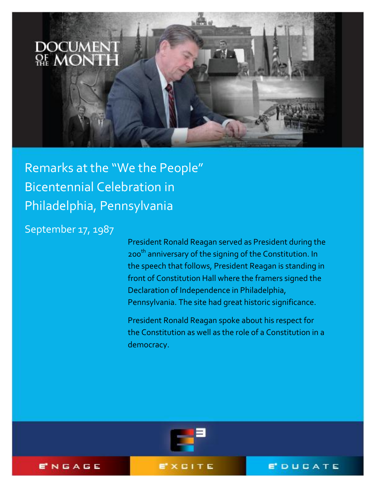

Remarks at the "We the People" Bicentennial Celebration in Philadelphia, Pennsylvania

September 17, 1987

President Ronald Reagan served as President during the 200<sup>th</sup> anniversary of the signing of the Constitution. In the speech that follows, President Reagan is standing in front of Constitution Hall where the framers signed the Declaration of Independence in Philadelphia, Pennsylvania. The site had great historic significance.

President Ronald Reagan spoke about his respect for the Constitution as well as the role of a Constitution in a democracy.



ENGAGE

EXCITE

**E**DUCATE